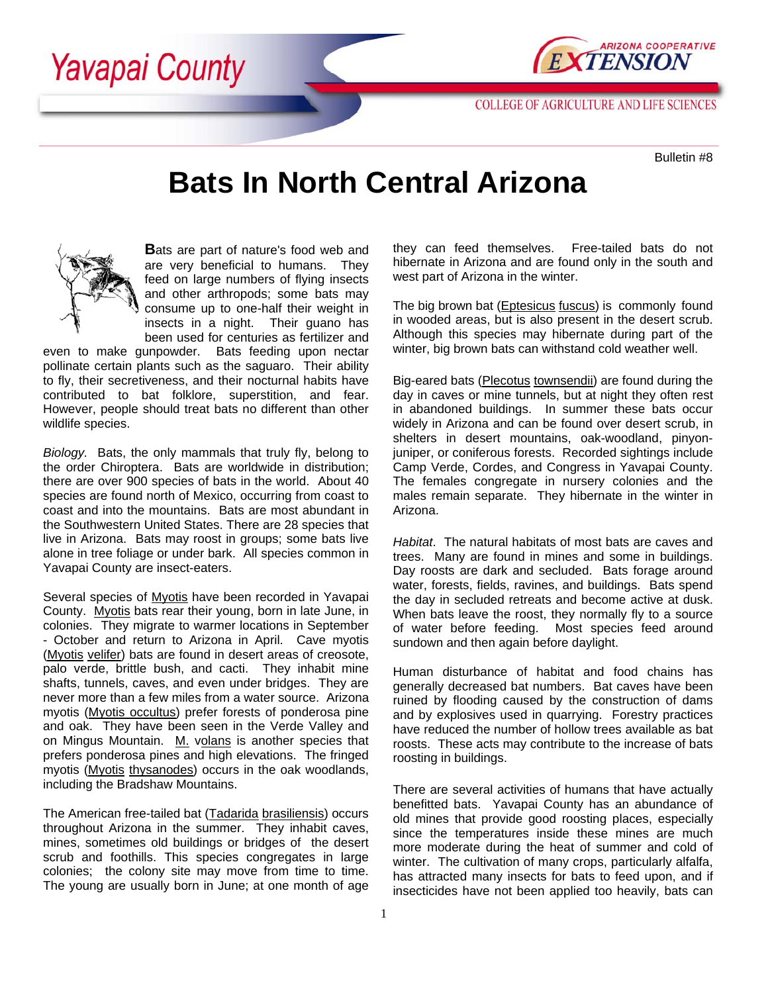Yavapai County



**COLLEGE OF AGRICULTURE AND LIFE SCIENCES** 

Bulletin #8

## **Bats In North Central Arizona**



**B**ats are part of nature's food web and are very beneficial to humans. They feed on large numbers of flying insects and other arthropods; some bats may consume up to one-half their weight in insects in a night. Their guano has been used for centuries as fertilizer and

even to make gunpowder. Bats feeding upon nectar pollinate certain plants such as the saguaro. Their ability to fly, their secretiveness, and their nocturnal habits have contributed to bat folklore, superstition, and fear. However, people should treat bats no different than other wildlife species.

*Biology.* Bats, the only mammals that truly fly, belong to the order Chiroptera. Bats are worldwide in distribution; there are over 900 species of bats in the world. About 40 species are found north of Mexico, occurring from coast to coast and into the mountains. Bats are most abundant in the Southwestern United States. There are 28 species that live in Arizona. Bats may roost in groups; some bats live alone in tree foliage or under bark. All species common in Yavapai County are insect-eaters.

Several species of Myotis have been recorded in Yavapai County. Myotis bats rear their young, born in late June, in colonies. They migrate to warmer locations in September - October and return to Arizona in April. Cave myotis (Myotis velifer) bats are found in desert areas of creosote, palo verde, brittle bush, and cacti. They inhabit mine shafts, tunnels, caves, and even under bridges. They are never more than a few miles from a water source. Arizona myotis (Myotis occultus) prefer forests of ponderosa pine and oak. They have been seen in the Verde Valley and on Mingus Mountain. M. volans is another species that prefers ponderosa pines and high elevations. The fringed myotis (Myotis thysanodes) occurs in the oak woodlands, including the Bradshaw Mountains.

The American free-tailed bat (Tadarida brasiliensis) occurs throughout Arizona in the summer. They inhabit caves, mines, sometimes old buildings or bridges of the desert scrub and foothills. This species congregates in large colonies; the colony site may move from time to time. The young are usually born in June; at one month of age they can feed themselves. Free-tailed bats do not hibernate in Arizona and are found only in the south and west part of Arizona in the winter.

The big brown bat (Eptesicus fuscus) is commonly found in wooded areas, but is also present in the desert scrub. Although this species may hibernate during part of the winter, big brown bats can withstand cold weather well.

Big-eared bats (Plecotus townsendii) are found during the day in caves or mine tunnels, but at night they often rest in abandoned buildings. In summer these bats occur widely in Arizona and can be found over desert scrub, in shelters in desert mountains, oak-woodland, pinyonjuniper, or coniferous forests. Recorded sightings include Camp Verde, Cordes, and Congress in Yavapai County. The females congregate in nursery colonies and the males remain separate. They hibernate in the winter in Arizona.

*Habitat*. The natural habitats of most bats are caves and trees. Many are found in mines and some in buildings. Day roosts are dark and secluded. Bats forage around water, forests, fields, ravines, and buildings. Bats spend the day in secluded retreats and become active at dusk. When bats leave the roost, they normally fly to a source of water before feeding. Most species feed around sundown and then again before daylight.

Human disturbance of habitat and food chains has generally decreased bat numbers. Bat caves have been ruined by flooding caused by the construction of dams and by explosives used in quarrying. Forestry practices have reduced the number of hollow trees available as bat roosts. These acts may contribute to the increase of bats roosting in buildings.

There are several activities of humans that have actually benefitted bats. Yavapai County has an abundance of old mines that provide good roosting places, especially since the temperatures inside these mines are much more moderate during the heat of summer and cold of winter. The cultivation of many crops, particularly alfalfa, has attracted many insects for bats to feed upon, and if insecticides have not been applied too heavily, bats can